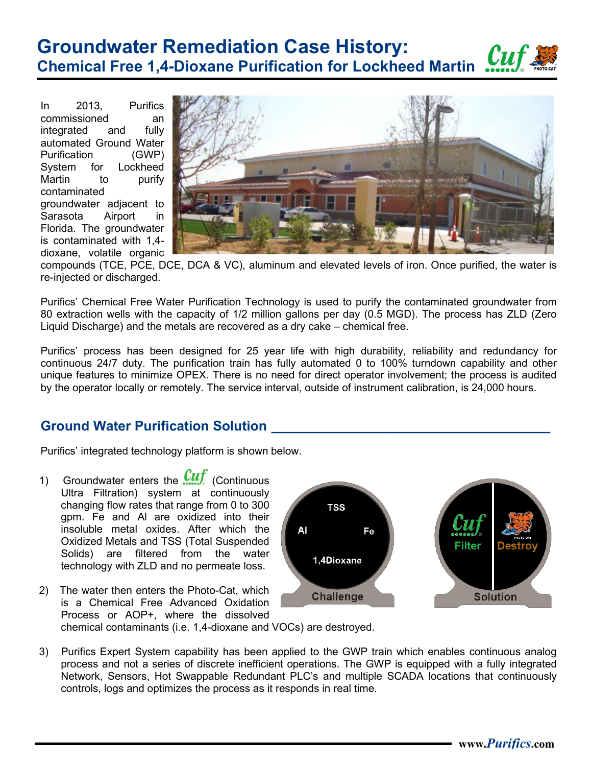## **Groundwater Remediation Case History: Chemical Free 1,4-Dioxane Purification for Lockheed Martin**

In 2013, Purifics commissioned an integrated and fully automated Ground Water Purification (GWP) System for Lockheed Martin to purify contaminated groundwater adjacent to Sarasota Airport in Florida. The groundwater is contaminated with 1,4 dioxane, volatile organic



compounds (TCE, PCE, DCE, DCA & VC), aluminum and elevated levels of iron. Once purified, the water is re-injected or discharged.

Purifics' Chemical Free Water Purification Technology is used to purify the contaminated groundwater from 80 extraction wells with the capacity of 1/2 million gallons per day (0.5 MGD). The process has ZLD (Zero Liquid Discharge) and the metals are recovered as a dry cake – chemical free.

Purifics' process has been designed for 25 year life with high durability, reliability and redundancy for continuous 24/7 duty. The purification train has fully automated 0 to 100% turndown capability and other unique features to minimize OPEX. There is no need for direct operator involvement; the process is audited by the operator locally or remotely. The service interval, outside of instrument calibration, is 24,000 hours.

## **Ground Water Purification Solution \_\_\_\_\_\_\_\_\_\_\_\_\_\_\_\_\_\_\_\_\_\_\_\_\_\_\_\_\_\_\_\_\_\_\_\_\_**

Purifics' integrated technology platform is shown below.

- 1) Groundwater enters the  $\frac{C}{C}$  (Continuous Ultra Filtration) system at continuously changing flow rates that range from 0 to 300 gpm. Fe and Al are oxidized into their insoluble metal oxides. After which the Oxidized Metals and TSS (Total Suspended Solids) are filtered from the water technology with ZLD and no permeate loss.
- **TSS** Al Fe **Filter** 1,4Dioxane **Challenge Solution**
- 2) The water then enters the Photo-Cat, which is a Chemical Free Advanced Oxidation Process or AOP+, where the dissolved
	- chemical contaminants (i.e. 1,4-dioxane and VOCs) are destroyed.
- 3) Purifics Expert System capability has been applied to the GWP train which enables continuous analog process and not a series of discrete inefficient operations. The GWP is equipped with a fully integrated Network, Sensors, Hot Swappable Redundant PLC's and multiple SCADA locations that continuously controls, logs and optimizes the process as it responds in real time.